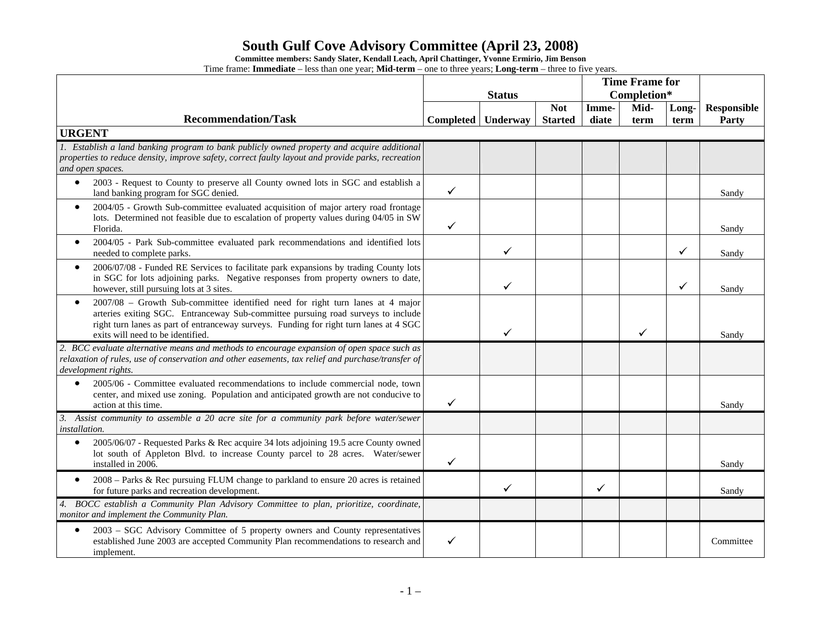**Committee members: Sandy Slater, Kendall Leach, April Chattinger, Yvonne Ermirio, Jim Benson** 

|                                                                                                                                                                                                                                                                                                                | <b>Status</b> |          |                | <b>Time Frame for</b><br>Completion* |      |              |                    |
|----------------------------------------------------------------------------------------------------------------------------------------------------------------------------------------------------------------------------------------------------------------------------------------------------------------|---------------|----------|----------------|--------------------------------------|------|--------------|--------------------|
|                                                                                                                                                                                                                                                                                                                |               |          | <b>Not</b>     | Imme-                                | Mid- | Long-        | <b>Responsible</b> |
| <b>Recommendation/Task</b>                                                                                                                                                                                                                                                                                     | Completed     | Underway | <b>Started</b> | diate                                | term | term         | Party              |
| <b>URGENT</b>                                                                                                                                                                                                                                                                                                  |               |          |                |                                      |      |              |                    |
| 1. Establish a land banking program to bank publicly owned property and acquire additional<br>properties to reduce density, improve safety, correct faulty layout and provide parks, recreation<br>and open spaces.                                                                                            |               |          |                |                                      |      |              |                    |
| 2003 - Request to County to preserve all County owned lots in SGC and establish a<br>$\bullet$<br>land banking program for SGC denied.                                                                                                                                                                         | ✓             |          |                |                                      |      |              | Sandy              |
| 2004/05 - Growth Sub-committee evaluated acquisition of major artery road frontage<br>$\bullet$<br>lots. Determined not feasible due to escalation of property values during 04/05 in SW<br>Florida.                                                                                                           | ✓             |          |                |                                      |      |              | Sandy              |
| 2004/05 - Park Sub-committee evaluated park recommendations and identified lots<br>$\bullet$<br>needed to complete parks.                                                                                                                                                                                      |               | ✓        |                |                                      |      | ✓            | Sandy              |
| 2006/07/08 - Funded RE Services to facilitate park expansions by trading County lots<br>$\bullet$<br>in SGC for lots adjoining parks. Negative responses from property owners to date,<br>however, still pursuing lots at 3 sites.                                                                             |               | ✓        |                |                                      |      | $\checkmark$ | Sandy              |
| 2007/08 - Growth Sub-committee identified need for right turn lanes at 4 major<br>$\bullet$<br>arteries exiting SGC. Entranceway Sub-committee pursuing road surveys to include<br>right turn lanes as part of entranceway surveys. Funding for right turn lanes at 4 SGC<br>exits will need to be identified. |               | ✓        |                |                                      |      |              | Sandy              |
| 2. BCC evaluate alternative means and methods to encourage expansion of open space such as<br>relaxation of rules, use of conservation and other easements, tax relief and purchase/transfer of<br>development rights.                                                                                         |               |          |                |                                      |      |              |                    |
| 2005/06 - Committee evaluated recommendations to include commercial node, town<br>$\bullet$<br>center, and mixed use zoning. Population and anticipated growth are not conducive to<br>action at this time.                                                                                                    | ✓             |          |                |                                      |      |              | Sandy              |
| 3. Assist community to assemble a 20 acre site for a community park before water/sewer<br><i>installation.</i>                                                                                                                                                                                                 |               |          |                |                                      |      |              |                    |
| 2005/06/07 - Requested Parks & Rec acquire 34 lots adjoining 19.5 acre County owned<br>$\bullet$<br>lot south of Appleton Blvd. to increase County parcel to 28 acres. Water/sewer<br>installed in 2006.                                                                                                       | ✓             |          |                |                                      |      |              | Sandy              |
| 2008 – Parks & Rec pursuing FLUM change to parkland to ensure 20 acres is retained<br>$\bullet$<br>for future parks and recreation development.                                                                                                                                                                |               | ✓        |                | ✓                                    |      |              | Sandy              |
| 4. BOCC establish a Community Plan Advisory Committee to plan, prioritize, coordinate,<br>monitor and implement the Community Plan.                                                                                                                                                                            |               |          |                |                                      |      |              |                    |
| 2003 - SGC Advisory Committee of 5 property owners and County representatives<br>$\bullet$<br>established June 2003 are accepted Community Plan recommendations to research and<br>implement.                                                                                                                  | ✓             |          |                |                                      |      |              | Committee          |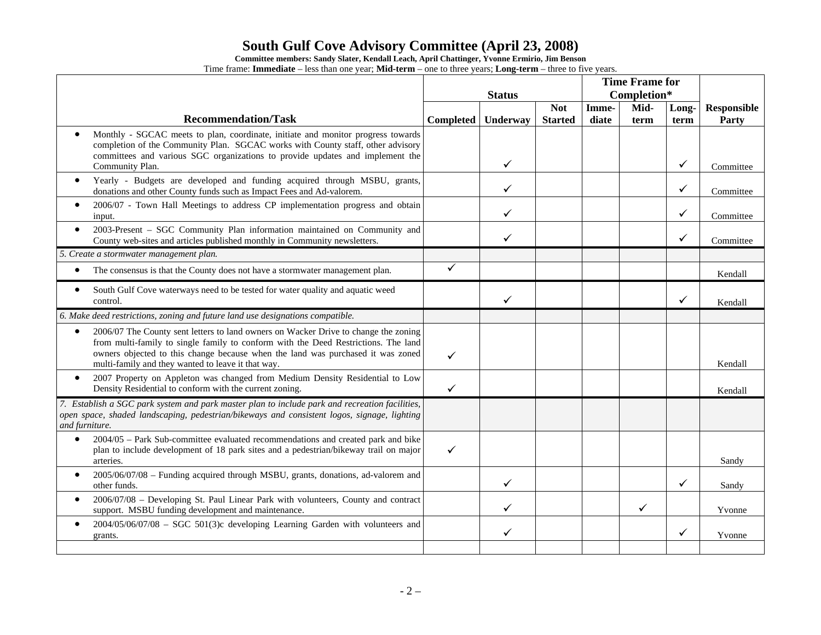**Committee members: Sandy Slater, Kendall Leach, April Chattinger, Yvonne Ermirio, Jim Benson** 

|                                                                                                                                                                                                                                                                                                                                 | <b>Status</b> |              |                              | <b>Time Frame for</b><br>Completion* |              |               |                             |
|---------------------------------------------------------------------------------------------------------------------------------------------------------------------------------------------------------------------------------------------------------------------------------------------------------------------------------|---------------|--------------|------------------------------|--------------------------------------|--------------|---------------|-----------------------------|
| <b>Recommendation/Task</b>                                                                                                                                                                                                                                                                                                      | Completed     | Underway     | <b>Not</b><br><b>Started</b> | Imme-<br>diate                       | Mid-<br>term | Long-<br>term | <b>Responsible</b><br>Party |
| Monthly - SGCAC meets to plan, coordinate, initiate and monitor progress towards<br>$\bullet$<br>completion of the Community Plan. SGCAC works with County staff, other advisory<br>committees and various SGC organizations to provide updates and implement the<br>Community Plan.                                            |               | ✓            |                              |                                      |              | ✓             | Committee                   |
| Yearly - Budgets are developed and funding acquired through MSBU, grants,<br>$\bullet$<br>donations and other County funds such as Impact Fees and Ad-valorem.                                                                                                                                                                  |               | $\checkmark$ |                              |                                      |              | $\checkmark$  | Committee                   |
| 2006/07 - Town Hall Meetings to address CP implementation progress and obtain<br>$\bullet$<br>input.                                                                                                                                                                                                                            |               | $\checkmark$ |                              |                                      |              | ✓             | Committee                   |
| 2003-Present - SGC Community Plan information maintained on Community and<br>$\bullet$<br>County web-sites and articles published monthly in Community newsletters.                                                                                                                                                             |               | ✓            |                              |                                      |              | ✓             | Committee                   |
| 5. Create a stormwater management plan.                                                                                                                                                                                                                                                                                         |               |              |                              |                                      |              |               |                             |
| The consensus is that the County does not have a stormwater management plan.<br>$\bullet$                                                                                                                                                                                                                                       | ✓             |              |                              |                                      |              |               | Kendall                     |
| South Gulf Cove waterways need to be tested for water quality and aquatic weed<br>$\bullet$<br>control.                                                                                                                                                                                                                         |               | ✓            |                              |                                      |              | $\checkmark$  | Kendall                     |
| 6. Make deed restrictions, zoning and future land use designations compatible.                                                                                                                                                                                                                                                  |               |              |                              |                                      |              |               |                             |
| 2006/07 The County sent letters to land owners on Wacker Drive to change the zoning<br>$\bullet$<br>from multi-family to single family to conform with the Deed Restrictions. The land<br>owners objected to this change because when the land was purchased it was zoned<br>multi-family and they wanted to leave it that way. | $\checkmark$  |              |                              |                                      |              |               | Kendall                     |
| 2007 Property on Appleton was changed from Medium Density Residential to Low<br>$\bullet$<br>Density Residential to conform with the current zoning.                                                                                                                                                                            | $\checkmark$  |              |                              |                                      |              |               | Kendall                     |
| 7. Establish a SGC park system and park master plan to include park and recreation facilities,<br>open space, shaded landscaping, pedestrian/bikeways and consistent logos, signage, lighting<br>and furniture.                                                                                                                 |               |              |                              |                                      |              |               |                             |
| 2004/05 - Park Sub-committee evaluated recommendations and created park and bike<br>$\bullet$<br>plan to include development of 18 park sites and a pedestrian/bikeway trail on major<br>arteries.                                                                                                                              | ✓             |              |                              |                                      |              |               | Sandy                       |
| 2005/06/07/08 - Funding acquired through MSBU, grants, donations, ad-valorem and<br>$\bullet$<br>other funds.                                                                                                                                                                                                                   |               | $\checkmark$ |                              |                                      |              | ✓             | Sandy                       |
| 2006/07/08 - Developing St. Paul Linear Park with volunteers, County and contract<br>$\bullet$<br>support. MSBU funding development and maintenance.                                                                                                                                                                            |               | $\checkmark$ |                              |                                      | ✓            |               | Yvonne                      |
| $2004/05/06/07/08$ – SGC 501(3)c developing Learning Garden with volunteers and<br>$\bullet$<br>grants.                                                                                                                                                                                                                         |               | ✓            |                              |                                      |              | ✓             | Yvonne                      |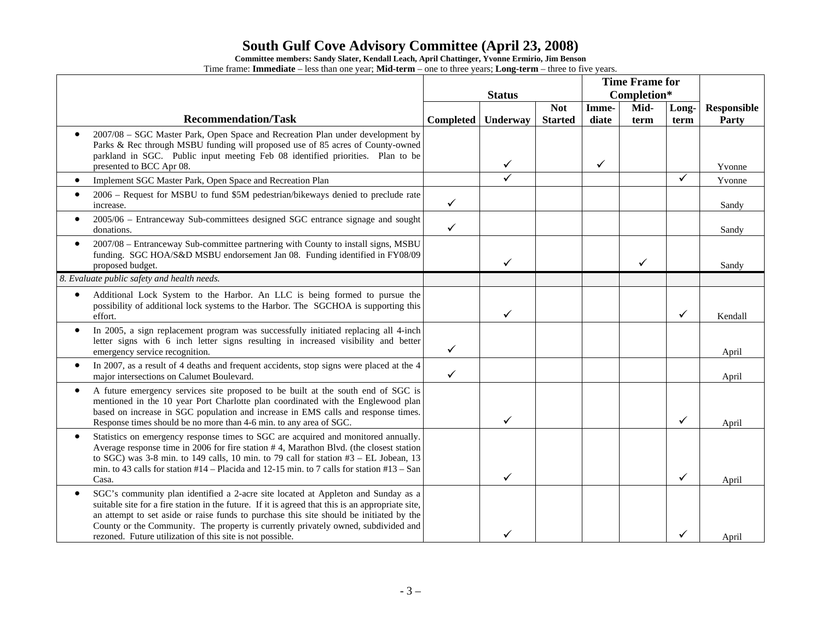**Committee members: Sandy Slater, Kendall Leach, April Chattinger, Yvonne Ermirio, Jim Benson** 

|                                                                                                                                                                                                                                                                                                                                                                                                                                                   | <b>Status</b>    |              |                              | <b>Time Frame for</b><br>Completion* |              |               |                             |
|---------------------------------------------------------------------------------------------------------------------------------------------------------------------------------------------------------------------------------------------------------------------------------------------------------------------------------------------------------------------------------------------------------------------------------------------------|------------------|--------------|------------------------------|--------------------------------------|--------------|---------------|-----------------------------|
| <b>Recommendation/Task</b>                                                                                                                                                                                                                                                                                                                                                                                                                        | <b>Completed</b> | Underway     | <b>Not</b><br><b>Started</b> | Imme-<br>diate                       | Mid-<br>term | Long-<br>term | <b>Responsible</b><br>Party |
| 2007/08 - SGC Master Park, Open Space and Recreation Plan under development by<br>Parks & Rec through MSBU funding will proposed use of 85 acres of County-owned<br>parkland in SGC. Public input meeting Feb 08 identified priorities. Plan to be<br>presented to BCC Apr 08.                                                                                                                                                                    |                  | $\checkmark$ |                              | $\checkmark$                         |              |               | Yvonne                      |
| Implement SGC Master Park, Open Space and Recreation Plan<br>$\bullet$                                                                                                                                                                                                                                                                                                                                                                            |                  | ✓            |                              |                                      |              | ✓             | Yvonne                      |
| 2006 - Request for MSBU to fund \$5M pedestrian/bikeways denied to preclude rate<br>increase.                                                                                                                                                                                                                                                                                                                                                     | $\checkmark$     |              |                              |                                      |              |               | Sandy                       |
| 2005/06 - Entranceway Sub-committees designed SGC entrance signage and sought<br>donations.                                                                                                                                                                                                                                                                                                                                                       | $\checkmark$     |              |                              |                                      |              |               | Sandy                       |
| 2007/08 – Entranceway Sub-committee partnering with County to install signs, MSBU<br>$\bullet$<br>funding. SGC HOA/S&D MSBU endorsement Jan 08. Funding identified in FY08/09<br>proposed budget.                                                                                                                                                                                                                                                 |                  | ✓            |                              |                                      | ✓            |               | Sandy                       |
| 8. Evaluate public safety and health needs.                                                                                                                                                                                                                                                                                                                                                                                                       |                  |              |                              |                                      |              |               |                             |
| Additional Lock System to the Harbor. An LLC is being formed to pursue the<br>٠<br>possibility of additional lock systems to the Harbor. The SGCHOA is supporting this<br>effort.                                                                                                                                                                                                                                                                 |                  | ✓            |                              |                                      |              | ✓             | Kendall                     |
| In 2005, a sign replacement program was successfully initiated replacing all 4-inch<br>$\bullet$<br>letter signs with 6 inch letter signs resulting in increased visibility and better<br>emergency service recognition.                                                                                                                                                                                                                          | $\checkmark$     |              |                              |                                      |              |               | April                       |
| In 2007, as a result of 4 deaths and frequent accidents, stop signs were placed at the 4<br>major intersections on Calumet Boulevard.                                                                                                                                                                                                                                                                                                             | $\checkmark$     |              |                              |                                      |              |               | April                       |
| A future emergency services site proposed to be built at the south end of SGC is<br>$\bullet$<br>mentioned in the 10 year Port Charlotte plan coordinated with the Englewood plan<br>based on increase in SGC population and increase in EMS calls and response times.<br>Response times should be no more than 4-6 min. to any area of SGC.                                                                                                      |                  | ✓            |                              |                                      |              | ✓             | April                       |
| Statistics on emergency response times to SGC are acquired and monitored annually.<br>$\bullet$<br>Average response time in 2006 for fire station #4, Marathon Blvd. (the closest station<br>to SGC) was 3-8 min. to 149 calls, 10 min. to 79 call for station $#3$ – EL Jobean, 13<br>min. to 43 calls for station $#14 -$ Placida and 12-15 min. to 7 calls for station $#13 -$ San<br>Casa.                                                    |                  | ✓            |                              |                                      |              | ✓             | April                       |
| SGC's community plan identified a 2-acre site located at Appleton and Sunday as a<br>$\bullet$<br>suitable site for a fire station in the future. If it is agreed that this is an appropriate site,<br>an attempt to set aside or raise funds to purchase this site should be initiated by the<br>County or the Community. The property is currently privately owned, subdivided and<br>rezoned. Future utilization of this site is not possible. |                  |              |                              |                                      |              |               | April                       |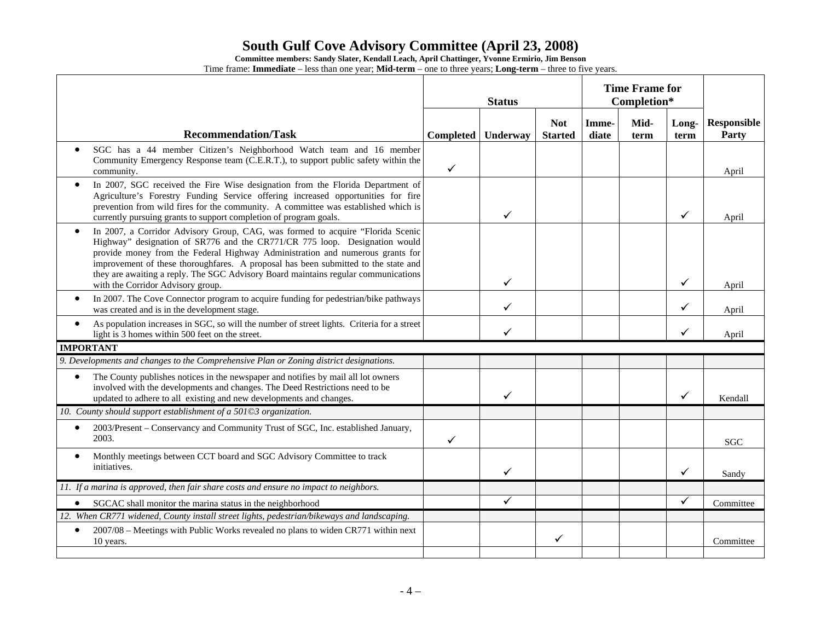**Committee members: Sandy Slater, Kendall Leach, April Chattinger, Yvonne Ermirio, Jim Benson** 

|                                                                                                                                                                                                                                                                                                                                                                                                                                                                             | <b>Status</b> |              |                              | <b>Time Frame for</b><br>Completion* |              |               |                             |
|-----------------------------------------------------------------------------------------------------------------------------------------------------------------------------------------------------------------------------------------------------------------------------------------------------------------------------------------------------------------------------------------------------------------------------------------------------------------------------|---------------|--------------|------------------------------|--------------------------------------|--------------|---------------|-----------------------------|
| <b>Recommendation/Task</b>                                                                                                                                                                                                                                                                                                                                                                                                                                                  | Completed     | Underway     | <b>Not</b><br><b>Started</b> | Imme-<br>diate                       | Mid-<br>term | Long-<br>term | <b>Responsible</b><br>Party |
| SGC has a 44 member Citizen's Neighborhood Watch team and 16 member<br>Community Emergency Response team (C.E.R.T.), to support public safety within the<br>community.                                                                                                                                                                                                                                                                                                      | $\checkmark$  |              |                              |                                      |              |               | April                       |
| In 2007, SGC received the Fire Wise designation from the Florida Department of<br>$\bullet$<br>Agriculture's Forestry Funding Service offering increased opportunities for fire<br>prevention from wild fires for the community. A committee was established which is<br>currently pursuing grants to support completion of program goals.                                                                                                                                  |               | ✓            |                              |                                      |              | $\checkmark$  | April                       |
| In 2007, a Corridor Advisory Group, CAG, was formed to acquire "Florida Scenic<br>$\bullet$<br>Highway" designation of SR776 and the CR771/CR 775 loop. Designation would<br>provide money from the Federal Highway Administration and numerous grants for<br>improvement of these thoroughfares. A proposal has been submitted to the state and<br>they are awaiting a reply. The SGC Advisory Board maintains regular communications<br>with the Corridor Advisory group. |               | ✓            |                              |                                      |              | $\checkmark$  | April                       |
| In 2007. The Cove Connector program to acquire funding for pedestrian/bike pathways<br>was created and is in the development stage.                                                                                                                                                                                                                                                                                                                                         |               | ✓            |                              |                                      |              | ✓             | April                       |
| As population increases in SGC, so will the number of street lights. Criteria for a street<br>$\bullet$<br>light is 3 homes within 500 feet on the street.                                                                                                                                                                                                                                                                                                                  |               | $\checkmark$ |                              |                                      |              | $\checkmark$  | April                       |
| <b>IMPORTANT</b>                                                                                                                                                                                                                                                                                                                                                                                                                                                            |               |              |                              |                                      |              |               |                             |
| 9. Developments and changes to the Comprehensive Plan or Zoning district designations.                                                                                                                                                                                                                                                                                                                                                                                      |               |              |                              |                                      |              |               |                             |
| The County publishes notices in the newspaper and notifies by mail all lot owners<br>$\bullet$<br>involved with the developments and changes. The Deed Restrictions need to be<br>updated to adhere to all existing and new developments and changes.                                                                                                                                                                                                                       |               | $\checkmark$ |                              |                                      |              | $\checkmark$  | Kendall                     |
| 10. County should support establishment of a 501©3 organization.                                                                                                                                                                                                                                                                                                                                                                                                            |               |              |                              |                                      |              |               |                             |
| 2003/Present – Conservancy and Community Trust of SGC, Inc. established January,<br>$\bullet$<br>2003.                                                                                                                                                                                                                                                                                                                                                                      | ✓             |              |                              |                                      |              |               | SGC                         |
| Monthly meetings between CCT board and SGC Advisory Committee to track<br>$\bullet$<br>initiatives.                                                                                                                                                                                                                                                                                                                                                                         |               | $\checkmark$ |                              |                                      |              | $\checkmark$  | Sandy                       |
| 11. If a marina is approved, then fair share costs and ensure no impact to neighbors.                                                                                                                                                                                                                                                                                                                                                                                       |               |              |                              |                                      |              |               |                             |
| SGCAC shall monitor the marina status in the neighborhood<br>$\bullet$                                                                                                                                                                                                                                                                                                                                                                                                      |               | $\checkmark$ |                              |                                      |              | $\checkmark$  | Committee                   |
| 12. When CR771 widened, County install street lights, pedestrian/bikeways and landscaping.                                                                                                                                                                                                                                                                                                                                                                                  |               |              |                              |                                      |              |               |                             |
| 2007/08 - Meetings with Public Works revealed no plans to widen CR771 within next<br>$\bullet$<br>10 years.                                                                                                                                                                                                                                                                                                                                                                 |               |              | ✓                            |                                      |              |               | Committee                   |